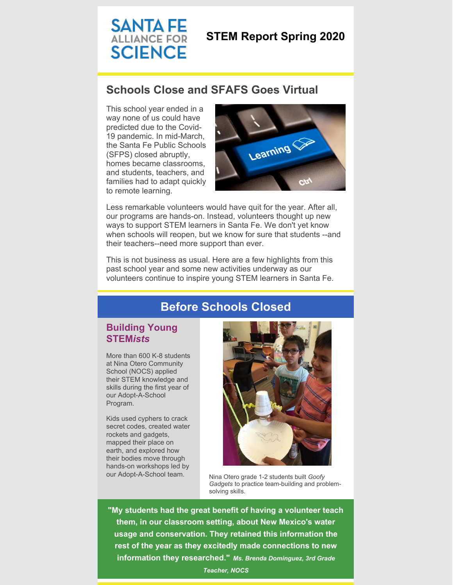# **SANTA FE** ALLIANCE FOR **SCIENCE**

## **STEM Report Spring 2020**

## **Schools Close and SFAFS Goes Virtual**

This school year ended in a way none of us could have predicted due to the Covid-19 pandemic. In mid-March, the Santa Fe Public Schools (SFPS) closed abruptly, homes became classrooms, and students, teachers, and families had to adapt quickly to remote learning.



Less remarkable volunteers would have quit for the year. After all, our programs are hands-on. Instead, volunteers thought up new ways to support STEM learners in Santa Fe. We don't yet know when schools will reopen, but we know for sure that students --and their teachers--need more support than ever.

This is not business as usual. Here are a few highlights from this past school year and some new activities underway as our volunteers continue to inspire young STEM learners in Santa Fe.

## **Before Schools Closed**

### **Building Young STEM***ists*

More than 600 K-8 students at Nina Otero Community School (NOCS) applied their STEM knowledge and skills during the first year of our Adopt-A-School Program.

Kids used cyphers to crack secret codes, created water rockets and gadgets, mapped their place on earth, and explored how their bodies move through hands-on workshops led by



our Adopt-A-School team. Nina Otero grade 1-2 students built *Goofy Gadgets* to practice team-building and problemsolving skills.

**"My students had the great benefit of having a volunteer teach them, in our classroom setting, about New Mexico's water usage and conservation. They retained this information the rest of the year as they excitedly made connections to new information they researched."** *Ms. Brenda Dominguez, 3rd Grade*

*Teacher, NOCS*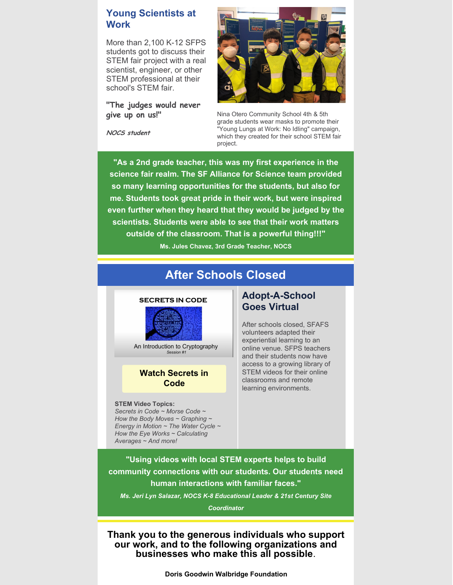### **Young Scientists at Work**

More than 2,100 K-12 SFPS students got to discuss their STEM fair project with a real scientist, engineer, or other STEM professional at their school's STEM fair.

### **"The judges would never give up on us!"**

**NOCS student**



Nina Otero Community School 4th & 5th grade students wear masks to promote their "Young Lungs at Work: No Idling" campaign, which they created for their school STEM fair project.

**"As a 2nd grade teacher, this was my first experience in the science fair realm. The SF Alliance for Science team provided so many learning opportunities for the students, but also for me. Students took great pride in their work, but were inspired even further when they heard that they would be judged by the scientists. Students were able to see that their work matters outside of the classroom. That is a powerful thing!!!"**

**Ms. Jules Chavez, 3rd Grade Teacher, NOCS**

## **After Schools Closed**

#### **SECRETS IN CODE**



An Introduction to Cryptography Session #1

### **Watch [Secrets](https://www.youtube.com/watch?v=Gh_9I1Za9O8&t=8s) in Code**

#### **STEM Video Topics:**

*Secrets in Code ~ Morse Code ~ How the Body Moves ~ Graphing ~ Energy in Motion ~ The Water Cycle ~ How the Eye Works ~ Calculating Averages ~ And more!*

### **Adopt-A-School Goes Virtual**

After schools closed, SFAFS volunteers adapted their experiential learning to an online venue. SFPS teachers and their students now have access to a growing library of STEM videos for their online classrooms and remote learning environments.

**"Using videos with local STEM experts helps to build community connections with our students. Our students need human interactions with familiar faces."**

*Ms. Jeri Lyn Salazar, NOCS K-8 Educational Leader & 21st Century Site*

*Coordinator*

**Thank you to the generous individuals who support our work, and to the following organizations and businesses who make this all possible**.

**Doris Goodwin Walbridge Foundation**